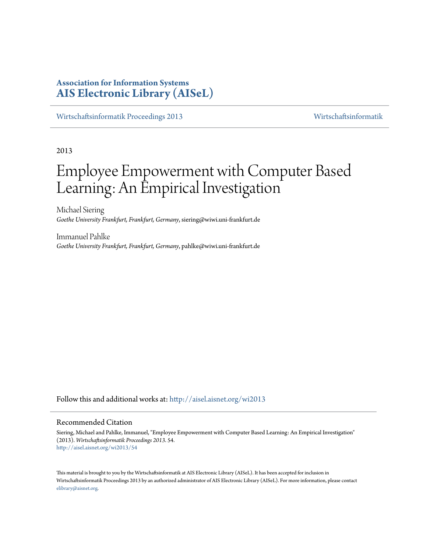# **Association for Information Systems [AIS Electronic Library \(AISeL\)](http://aisel.aisnet.org?utm_source=aisel.aisnet.org%2Fwi2013%2F54&utm_medium=PDF&utm_campaign=PDFCoverPages)**

[Wirtschaftsinformatik Proceedings 2013](http://aisel.aisnet.org/wi2013?utm_source=aisel.aisnet.org%2Fwi2013%2F54&utm_medium=PDF&utm_campaign=PDFCoverPages) [Wirtschaftsinformatik](http://aisel.aisnet.org/wi?utm_source=aisel.aisnet.org%2Fwi2013%2F54&utm_medium=PDF&utm_campaign=PDFCoverPages)

2013

# Employee Empowerment with Computer Based Learning: An Empirical Investigation

Michael Siering *Goethe University Frankfurt, Frankfurt, Germany*, siering@wiwi.uni-frankfurt.de

Immanuel Pahlke *Goethe University Frankfurt, Frankfurt, Germany*, pahlke@wiwi.uni-frankfurt.de

Follow this and additional works at: [http://aisel.aisnet.org/wi2013](http://aisel.aisnet.org/wi2013?utm_source=aisel.aisnet.org%2Fwi2013%2F54&utm_medium=PDF&utm_campaign=PDFCoverPages)

## Recommended Citation

Siering, Michael and Pahlke, Immanuel, "Employee Empowerment with Computer Based Learning: An Empirical Investigation" (2013). *Wirtschaftsinformatik Proceedings 2013*. 54. [http://aisel.aisnet.org/wi2013/54](http://aisel.aisnet.org/wi2013/54?utm_source=aisel.aisnet.org%2Fwi2013%2F54&utm_medium=PDF&utm_campaign=PDFCoverPages)

This material is brought to you by the Wirtschaftsinformatik at AIS Electronic Library (AISeL). It has been accepted for inclusion in Wirtschaftsinformatik Proceedings 2013 by an authorized administrator of AIS Electronic Library (AISeL). For more information, please contact [elibrary@aisnet.org.](mailto:elibrary@aisnet.org%3E)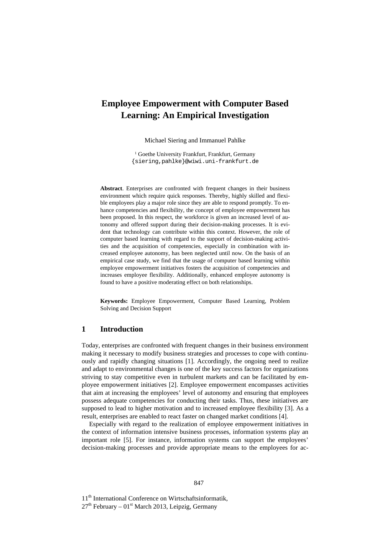# **Employee Empowerment with Computer Based Learning: An Empirical Investigation**

Michael Siering and Immanuel Pahlke

<sup>1</sup> Goethe University Frankfurt, Frankfurt, Germany {siering,pahlke}@wiwi.uni-frankfurt.de

**Abstract**. Enterprises are confronted with frequent changes in their business environment which require quick responses. Thereby, highly skilled and flexible employees play a major role since they are able to respond promptly. To enhance competencies and flexibility, the concept of employee empowerment has been proposed. In this respect, the workforce is given an increased level of autonomy and offered support during their decision-making processes. It is evident that technology can contribute within this context. However, the role of computer based learning with regard to the support of decision-making activities and the acquisition of competencies, especially in combination with increased employee autonomy, has been neglected until now. On the basis of an empirical case study, we find that the usage of computer based learning within employee empowerment initiatives fosters the acquisition of competencies and increases employee flexibility. Additionally, enhanced employee autonomy is found to have a positive moderating effect on both relationships.

**Keywords:** Employee Empowerment, Computer Based Learning, Problem Solving and Decision Support

# **1 Introduction**

Today, enterprises are confronted with frequent changes in their business environment making it necessary to modify business strategies and processes to cope with continuously and rapidly changing situations [1]. Accordingly, the ongoing need to realize and adapt to environmental changes is one of the key success factors for organizations striving to stay competitive even in turbulent markets and can be facilitated by employee empowerment initiatives [2]. Employee empowerment encompasses activities that aim at increasing the employees' level of autonomy and ensuring that employees possess adequate competencies for conducting their tasks. Thus, these initiatives are supposed to lead to higher motivation and to increased employee flexibility [3]. As a result, enterprises are enabled to react faster on changed market conditions [4].

Especially with regard to the realization of employee empowerment initiatives in the context of information intensive business processes, information systems play an important role [5]. For instance, information systems can support the employees' decision-making processes and provide appropriate means to the employees for ac-

11<sup>th</sup> International Conference on Wirtschaftsinformatik,

 $27<sup>th</sup>$  February – 01<sup>st</sup> March 2013, Leipzig, Germany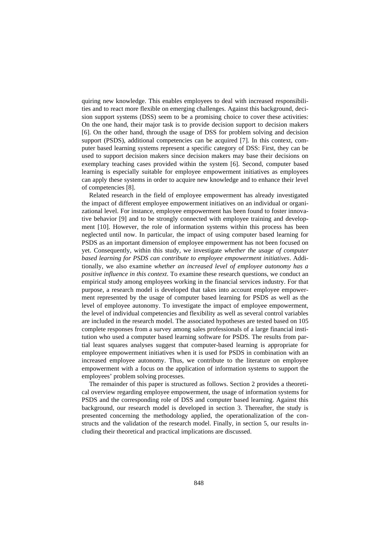quiring new knowledge. This enables employees to deal with increased responsibilities and to react more flexible on emerging challenges. Against this background, decision support systems (DSS) seem to be a promising choice to cover these activities: On the one hand, their major task is to provide decision support to decision makers [6]. On the other hand, through the usage of DSS for problem solving and decision support (PSDS), additional competencies can be acquired [7]. In this context, computer based learning systems represent a specific category of DSS: First, they can be used to support decision makers since decision makers may base their decisions on exemplary teaching cases provided within the system [6]. Second, computer based learning is especially suitable for employee empowerment initiatives as employees can apply these systems in order to acquire new knowledge and to enhance their level of competencies [8].

Related research in the field of employee empowerment has already investigated the impact of different employee empowerment initiatives on an individual or organizational level. For instance, employee empowerment has been found to foster innovative behavior [9] and to be strongly connected with employee training and development [10]. However, the role of information systems within this process has been neglected until now. In particular, the impact of using computer based learning for PSDS as an important dimension of employee empowerment has not been focused on yet. Consequently, within this study, we investigate *whether the usage of computer based learning for PSDS can contribute to employee empowerment initiatives*. Additionally, we also examine *whether an increased level of employee autonomy has a positive influence in this context*. To examine these research questions, we conduct an empirical study among employees working in the financial services industry. For that purpose, a research model is developed that takes into account employee empowerment represented by the usage of computer based learning for PSDS as well as the level of employee autonomy. To investigate the impact of employee empowerment, the level of individual competencies and flexibility as well as several control variables are included in the research model. The associated hypotheses are tested based on 105 complete responses from a survey among sales professionals of a large financial institution who used a computer based learning software for PSDS. The results from partial least squares analyses suggest that computer-based learning is appropriate for employee empowerment initiatives when it is used for PSDS in combination with an increased employee autonomy. Thus, we contribute to the literature on employee empowerment with a focus on the application of information systems to support the employees' problem solving processes.

The remainder of this paper is structured as follows. Section 2 provides a theoretical overview regarding employee empowerment, the usage of information systems for PSDS and the corresponding role of DSS and computer based learning. Against this background, our research model is developed in section 3. Thereafter, the study is presented concerning the methodology applied, the operationalization of the constructs and the validation of the research model. Finally, in section 5, our results including their theoretical and practical implications are discussed.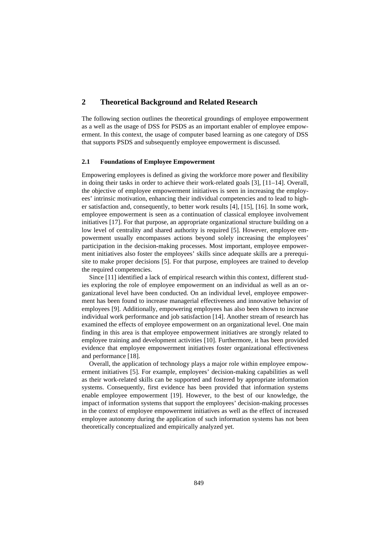# **2 Theoretical Background and Related Research**

The following section outlines the theoretical groundings of employee empowerment as a well as the usage of DSS for PSDS as an important enabler of employee empowerment. In this context, the usage of computer based learning as one category of DSS that supports PSDS and subsequently employee empowerment is discussed.

#### **2.1 Foundations of Employee Empowerment**

Empowering employees is defined as giving the workforce more power and flexibility in doing their tasks in order to achieve their work-related goals [3], [11–14]. Overall, the objective of employee empowerment initiatives is seen in increasing the employees' intrinsic motivation, enhancing their individual competencies and to lead to higher satisfaction and, consequently, to better work results [4], [15], [16]. In some work, employee empowerment is seen as a continuation of classical employee involvement initiatives [17]. For that purpose, an appropriate organizational structure building on a low level of centrality and shared authority is required [5]. However, employee empowerment usually encompasses actions beyond solely increasing the employees' participation in the decision-making processes. Most important, employee empowerment initiatives also foster the employees' skills since adequate skills are a prerequisite to make proper decisions [5]. For that purpose, employees are trained to develop the required competencies.

Since [11] identified a lack of empirical research within this context, different studies exploring the role of employee empowerment on an individual as well as an organizational level have been conducted. On an individual level, employee empowerment has been found to increase managerial effectiveness and innovative behavior of employees [9]. Additionally, empowering employees has also been shown to increase individual work performance and job satisfaction [14]. Another stream of research has examined the effects of employee empowerment on an organizational level. One main finding in this area is that employee empowerment initiatives are strongly related to employee training and development activities [10]. Furthermore, it has been provided evidence that employee empowerment initiatives foster organizational effectiveness and performance [18].

Overall, the application of technology plays a major role within employee empowerment initiatives [5]. For example, employees' decision-making capabilities as well as their work-related skills can be supported and fostered by appropriate information systems. Consequently, first evidence has been provided that information systems enable employee empowerment [19]. However, to the best of our knowledge, the impact of information systems that support the employees' decision-making processes in the context of employee empowerment initiatives as well as the effect of increased employee autonomy during the application of such information systems has not been theoretically conceptualized and empirically analyzed yet.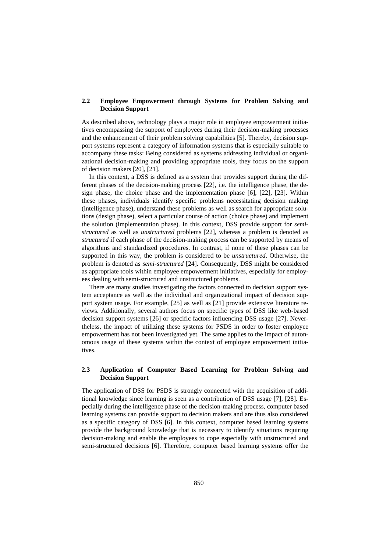### **2.2 Employee Empowerment through Systems for Problem Solving and Decision Support**

As described above, technology plays a major role in employee empowerment initiatives encompassing the support of employees during their decision-making processes and the enhancement of their problem solving capabilities [5]. Thereby, decision support systems represent a category of information systems that is especially suitable to accompany these tasks: Being considered as systems addressing individual or organizational decision-making and providing appropriate tools, they focus on the support of decision makers [20], [21].

In this context, a DSS is defined as a system that provides support during the different phases of the decision-making process [22], i.e. the intelligence phase, the design phase, the choice phase and the implementation phase [6], [22], [23]. Within these phases, individuals identify specific problems necessitating decision making (intelligence phase), understand these problems as well as search for appropriate solutions (design phase), select a particular course of action (choice phase) and implement the solution (implementation phase). In this context, DSS provide support for *semistructured* as well as *unstructured* problems [22], whereas a problem is denoted as *structured* if each phase of the decision-making process can be supported by means of algorithms and standardized procedures. In contrast, if none of these phases can be supported in this way, the problem is considered to be *unstructured*. Otherwise, the problem is denoted as *semi-structured* [24]. Consequently, DSS might be considered as appropriate tools within employee empowerment initiatives, especially for employees dealing with semi-structured and unstructured problems.

There are many studies investigating the factors connected to decision support system acceptance as well as the individual and organizational impact of decision support system usage. For example, [25] as well as [21] provide extensive literature reviews. Additionally, several authors focus on specific types of DSS like web-based decision support systems [26] or specific factors influencing DSS usage [27]. Nevertheless, the impact of utilizing these systems for PSDS in order to foster employee empowerment has not been investigated yet. The same applies to the impact of autonomous usage of these systems within the context of employee empowerment initiatives.

## **2.3 Application of Computer Based Learning for Problem Solving and Decision Support**

The application of DSS for PSDS is strongly connected with the acquisition of additional knowledge since learning is seen as a contribution of DSS usage [7], [28]. Especially during the intelligence phase of the decision-making process, computer based learning systems can provide support to decision makers and are thus also considered as a specific category of DSS [6]. In this context, computer based learning systems provide the background knowledge that is necessary to identify situations requiring decision-making and enable the employees to cope especially with unstructured and semi-structured decisions [6]. Therefore, computer based learning systems offer the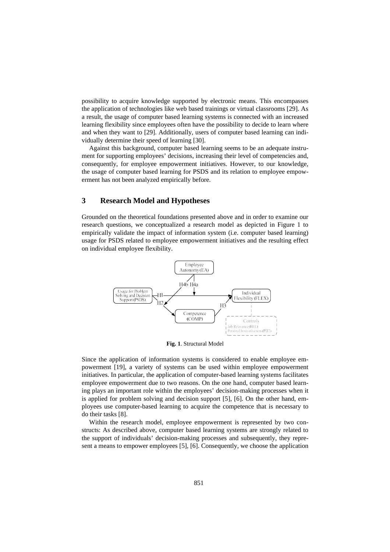possibility to acquire knowledge supported by electronic means. This encompasses the application of technologies like web based trainings or virtual classrooms [29]. As a result, the usage of computer based learning systems is connected with an increased learning flexibility since employees often have the possibility to decide to learn where and when they want to [29]. Additionally, users of computer based learning can individually determine their speed of learning [30].

Against this background, computer based learning seems to be an adequate instrument for supporting employees' decisions, increasing their level of competencies and, consequently, for employee empowerment initiatives. However, to our knowledge, the usage of computer based learning for PSDS and its relation to employee empowerment has not been analyzed empirically before.

# **3 Research Model and Hypotheses**

Grounded on the theoretical foundations presented above and in order to examine our research questions, we conceptualized a research model as depicted in Figure 1 to empirically validate the impact of information system (i.e. computer based learning) usage for PSDS related to employee empowerment initiatives and the resulting effect on individual employee flexibility.



**Fig. 1**. Structural Model

Since the application of information systems is considered to enable employee empowerment [19], a variety of systems can be used within employee empowerment initiatives. In particular, the application of computer-based learning systems facilitates employee empowerment due to two reasons. On the one hand, computer based learning plays an important role within the employees' decision-making processes when it is applied for problem solving and decision support [5], [6]. On the other hand, employees use computer-based learning to acquire the competence that is necessary to do their tasks [8].

Within the research model, employee empowerment is represented by two constructs: As described above, computer based learning systems are strongly related to the support of individuals' decision-making processes and subsequently, they represent a means to empower employees [5], [6]. Consequently, we choose the application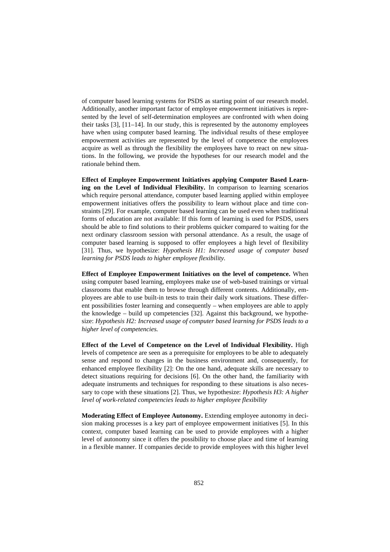of computer based learning systems for PSDS as starting point of our research model. Additionally, another important factor of employee empowerment initiatives is represented by the level of self-determination employees are confronted with when doing their tasks [3], [11–14]. In our study, this is represented by the autonomy employees have when using computer based learning. The individual results of these employee empowerment activities are represented by the level of competence the employees acquire as well as through the flexibility the employees have to react on new situations. In the following, we provide the hypotheses for our research model and the rationale behind them.

**Effect of Employee Empowerment Initiatives applying Computer Based Learning on the Level of Individual Flexibility.** In comparison to learning scenarios which require personal attendance, computer based learning applied within employee empowerment initiatives offers the possibility to learn without place and time constraints [29]. For example, computer based learning can be used even when traditional forms of education are not available: If this form of learning is used for PSDS, users should be able to find solutions to their problems quicker compared to waiting for the next ordinary classroom session with personal attendance. As a result, the usage of computer based learning is supposed to offer employees a high level of flexibility [31]. Thus, we hypothesize: *Hypothesis H1: Increased usage of computer based learning for PSDS leads to higher employee flexibility.*

**Effect of Employee Empowerment Initiatives on the level of competence.** When using computer based learning, employees make use of web-based trainings or virtual classrooms that enable them to browse through different contents. Additionally, employees are able to use built-in tests to train their daily work situations. These different possibilities foster learning and consequently – when employees are able to apply the knowledge – build up competencies [32]. Against this background, we hypothesize: *Hypothesis H2: Increased usage of computer based learning for PSDS leads to a higher level of competencies.*

**Effect of the Level of Competence on the Level of Individual Flexibility.** High levels of competence are seen as a prerequisite for employees to be able to adequately sense and respond to changes in the business environment and, consequently, for enhanced employee flexibility [2]: On the one hand, adequate skills are necessary to detect situations requiring for decisions [6]. On the other hand, the familiarity with adequate instruments and techniques for responding to these situations is also necessary to cope with these situations [2]. Thus, we hypothesize: *Hypothesis H3: A higher level of work-related competencies leads to higher employee flexibility*

**Moderating Effect of Employee Autonomy.** Extending employee autonomy in decision making processes is a key part of employee empowerment initiatives [5]. In this context, computer based learning can be used to provide employees with a higher level of autonomy since it offers the possibility to choose place and time of learning in a flexible manner. If companies decide to provide employees with this higher level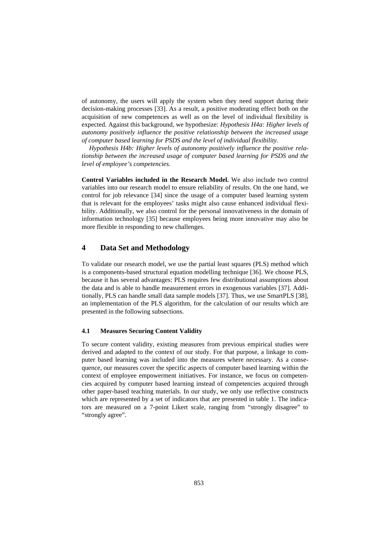of autonomy, the users will apply the system when they need support during their decision-making processes [33]. As a result, a positive moderating effect both on the acquisition of new competences as well as on the level of individual flexibility is expected. Against this background, we hypothesize: *Hypothesis H4a: Higher levels of autonomy positively influence the positive relationship between the increased usage of computer based learning for PSDS and the level of individual flexibility.* 

*Hypothesis H4b: Higher levels of autonomy positively influence the positive relationship between the increased usage of computer based learning for PSDS and the level of employee's competencies.*

**Control Variables included in the Research Model.** We also include two control variables into our research model to ensure reliability of results. On the one hand, we control for job relevance [34] since the usage of a computer based learning system that is relevant for the employees' tasks might also cause enhanced individual flexibility. Additionally, we also control for the personal innovativeness in the domain of information technology [35] because employees being more innovative may also be more flexible in responding to new challenges.

# **4 Data Set and Methodology**

To validate our research model, we use the partial least squares (PLS) method which is a components-based structural equation modelling technique [36]. We choose PLS, because it has several advantages: PLS requires few distributional assumptions about the data and is able to handle measurement errors in exogenous variables [37]. Additionally, PLS can handle small data sample models [37]. Thus, we use SmartPLS [38], an implementation of the PLS algorithm, for the calculation of our results which are presented in the following subsections.

#### **4.1 Measures Securing Content Validity**

To secure content validity, existing measures from previous empirical studies were derived and adapted to the context of our study. For that purpose, a linkage to computer based learning was included into the measures where necessary. As a consequence, our measures cover the specific aspects of computer based learning within the context of employee empowerment initiatives. For instance, we focus on competencies acquired by computer based learning instead of competencies acquired through other paper-based teaching materials. In our study, we only use reflective constructs which are represented by a set of indicators that are presented in table 1. The indicators are measured on a 7-point Likert scale, ranging from "strongly disagree" to "strongly agree".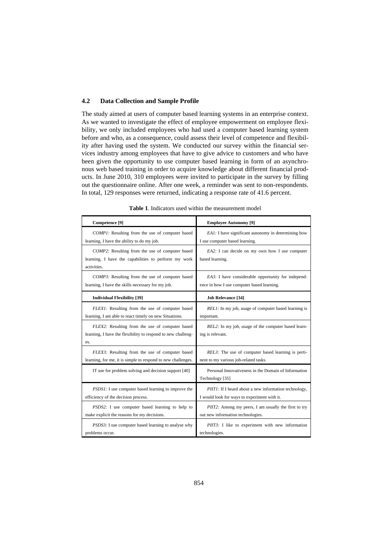#### **4.2 Data Collection and Sample Profile**

The study aimed at users of computer based learning systems in an enterprise context. As we wanted to investigate the effect of employee empowerment on employee flexibility, we only included employees who had used a computer based learning system before and who, as a consequence, could assess their level of competence and flexibility after having used the system. We conducted our survey within the financial services industry among employees that have to give advice to customers and who have been given the opportunity to use computer based learning in form of an asynchronous web based training in order to acquire knowledge about different financial products. In June 2010, 310 employees were invited to participate in the survey by filling out the questionnaire online. After one week, a reminder was sent to non-respondents. In total, 129 responses were returned, indicating a response rate of 41.6 percent.

| Competence <sup>[9]</sup>                                                                                              | <b>Employee Autonomy [9]</b>                                            |
|------------------------------------------------------------------------------------------------------------------------|-------------------------------------------------------------------------|
| COMP1: Resulting from the use of computer based                                                                        | EA1: I have significant autonomy in determining how                     |
| learning, I have the ability to do my job.                                                                             | I use computer based learning.                                          |
| COMP2: Resulting from the use of computer based<br>learning, I have the capabilities to perform my work<br>activities. | EA2: I can decide on my own how I use computer<br>based learning.       |
| COMP3: Resulting from the use of computer based                                                                        | EA3: I have considerable opportunity for independ-                      |
| learning, I have the skills necessary for my job.                                                                      | ence in how I use computer based learning.                              |
| <b>Individual Flexibility</b> [39]                                                                                     | <b>Job Relevance [34]</b>                                               |
| FLEX1: Resulting from the use of computer based                                                                        | REL1: In my job, usage of computer based learning is                    |
| learning, I am able to react timely on new Situations.                                                                 | important.                                                              |
| FLEX2: Resulting from the use of computer based<br>learning, I have the flexibility to respond to new challeng-<br>es. | REL2: In my job, usage of the computer based learn-<br>ing is relevant. |
| FLEX3: Resulting from the use of computer based                                                                        | REL3: The use of computer based learning is perti-                      |
| learning, for me, it is simple to respond to new challenges.                                                           | nent to my various job-related tasks.                                   |
| IT use for problem solving and decision support [40]                                                                   | Personal Innovativeness in the Domain of Information<br>Technology [35] |
| <i>PSDS1</i> : I use computer based learning to improve the                                                            | PIIT1: If I heard about a new information technology,                   |
| efficiency of the decision process.                                                                                    | I would look for ways to experiment with it.                            |
| <i>PSDS2</i> : I use computer based learning to help to                                                                | PIIT2: Among my peers, I am usually the first to try                    |
| make explicit the reasons for my decisions.                                                                            | out new information technologies.                                       |
| PSDS3: I use computer based learning to analyse why                                                                    | PIIT3: I like to experiment with new information                        |
| problems occur.                                                                                                        | technologies.                                                           |

**Table 1**. Indicators used within the measurement model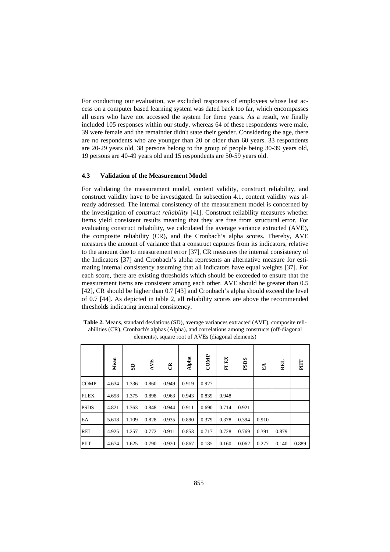For conducting our evaluation, we excluded responses of employees whose last access on a computer based learning system was dated back too far, which encompasses all users who have not accessed the system for three years. As a result, we finally included 105 responses within our study, whereas 64 of these respondents were male, 39 were female and the remainder didn't state their gender. Considering the age, there are no respondents who are younger than 20 or older than 60 years. 33 respondents are 20-29 years old, 38 persons belong to the group of people being 30-39 years old, 19 persons are 40-49 years old and 15 respondents are 50-59 years old.

#### **4.3 Validation of the Measurement Model**

For validating the measurement model, content validity, construct reliability, and construct validity have to be investigated. In subsection 4.1, content validity was already addressed. The internal consistency of the measurement model is concerned by the investigation of *construct reliability* [41]. Construct reliability measures whether items yield consistent results meaning that they are free from structural error. For evaluating construct reliability, we calculated the average variance extracted (AVE), the composite reliability (CR), and the Cronbach's alpha scores. Thereby, AVE measures the amount of variance that a construct captures from its indicators, relative to the amount due to measurement error [37], CR measures the internal consistency of the Indicators [37] and Cronbach's alpha represents an alternative measure for estimating internal consistency assuming that all indicators have equal weights [37]. For each score, there are existing thresholds which should be exceeded to ensure that the measurement items are consistent among each other. AVE should be greater than 0.5 [42], CR should be higher than 0.7 [43] and Cronbach's alpha should exceed the level of 0.7 [44]. As depicted in table 2, all reliability scores are above the recommended thresholds indicating internal consistency.

**Table 2.** Means, standard deviations (SD), average variances extracted (AVE), composite reliabilities (CR), Cronbach's alphas (Alpha), and correlations among constructs (off-diagonal elements), square root of AVEs (diagonal elements)

|             | Mean  | G     | AVE   | $\tilde{c}$ | Alpha | COMP  | <b>FLEX</b> | <b>PSDS</b> | $\mathbf{E} \mathbf{A}$ | REL   | E     |
|-------------|-------|-------|-------|-------------|-------|-------|-------------|-------------|-------------------------|-------|-------|
| <b>COMP</b> | 4.634 | 1.336 | 0.860 | 0.949       | 0.919 | 0.927 |             |             |                         |       |       |
| <b>FLEX</b> | 4.658 | 1.375 | 0.898 | 0.963       | 0.943 | 0.839 | 0.948       |             |                         |       |       |
| <b>PSDS</b> | 4.821 | 1.363 | 0.848 | 0.944       | 0.911 | 0.690 | 0.714       | 0.921       |                         |       |       |
| EA          | 5.618 | 1.109 | 0.828 | 0.935       | 0.890 | 0.379 | 0.378       | 0.394       | 0.910                   |       |       |
| <b>REL</b>  | 4.925 | 1.257 | 0.772 | 0.911       | 0.853 | 0.717 | 0.728       | 0.769       | 0.391                   | 0.879 |       |
| PIIT        | 4.674 | 1.625 | 0.790 | 0.920       | 0.867 | 0.185 | 0.160       | 0.062       | 0.277                   | 0.140 | 0.889 |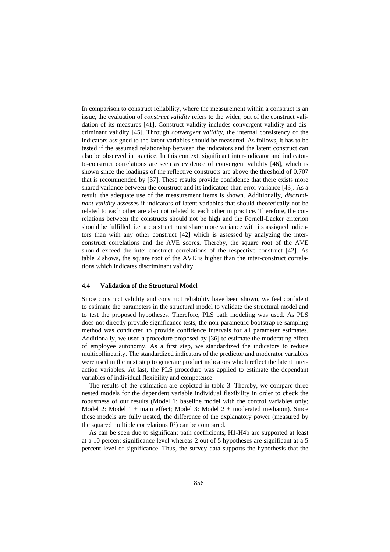In comparison to construct reliability, where the measurement within a construct is an issue, the evaluation of *construct validity* refers to the wider, out of the construct validation of its measures [41]. Construct validity includes convergent validity and discriminant validity [45]. Through *convergent validity*, the internal consistency of the indicators assigned to the latent variables should be measured. As follows, it has to be tested if the assumed relationship between the indicators and the latent construct can also be observed in practice. In this context, significant inter-indicator and indicatorto-construct correlations are seen as evidence of convergent validity [46], which is shown since the loadings of the reflective constructs are above the threshold of 0.707 that is recommended by [37]. These results provide confidence that there exists more shared variance between the construct and its indicators than error variance [43]. As a result, the adequate use of the measurement items is shown. Additionally, *discriminant validity* assesses if indicators of latent variables that should theoretically not be related to each other are also not related to each other in practice. Therefore, the correlations between the constructs should not be high and the Fornell-Lacker criterion should be fulfilled, i.e. a construct must share more variance with its assigned indicators than with any other construct [42] which is assessed by analyzing the interconstruct correlations and the AVE scores. Thereby, the square root of the AVE should exceed the inter-construct correlations of the respective construct [42]. As table 2 shows, the square root of the AVE is higher than the inter-construct correlations which indicates discriminant validity.

#### **4.4 Validation of the Structural Model**

Since construct validity and construct reliability have been shown, we feel confident to estimate the parameters in the structural model to validate the structural model and to test the proposed hypotheses. Therefore, PLS path modeling was used. As PLS does not directly provide significance tests, the non-parametric bootstrap re-sampling method was conducted to provide confidence intervals for all parameter estimates. Additionally, we used a procedure proposed by [36] to estimate the moderating effect of employee autonomy. As a first step, we standardized the indicators to reduce multicollinearity. The standardized indicators of the predictor and moderator variables were used in the next step to generate product indicators which reflect the latent interaction variables. At last, the PLS procedure was applied to estimate the dependant variables of individual flexibility and competence.

The results of the estimation are depicted in table 3. Thereby, we compare three nested models for the dependent variable individual flexibility in order to check the robustness of our results (Model 1: baseline model with the control variables only; Model 2: Model 1 + main effect; Model 3: Model 2 + moderated mediaton). Since these models are fully nested, the difference of the explanatory power (measured by the squared multiple correlations R²) can be compared.

As can be seen due to significant path coefficients, H1-H4b are supported at least at a 10 percent significance level whereas 2 out of 5 hypotheses are significant at a 5 percent level of significance. Thus, the survey data supports the hypothesis that the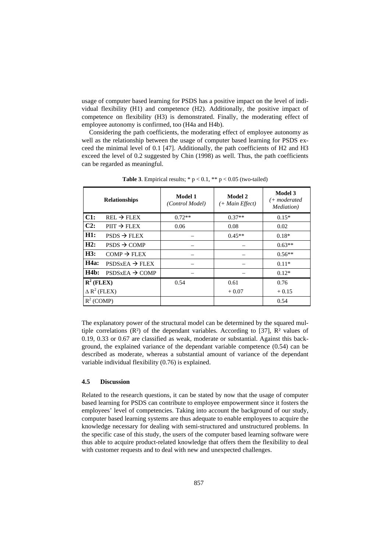usage of computer based learning for PSDS has a positive impact on the level of individual flexibility (H1) and competence (H2). Additionally, the positive impact of competence on flexibility (H3) is demonstrated. Finally, the moderating effect of employee autonomy is confirmed, too (H4a and H4b).

Considering the path coefficients, the moderating effect of employee autonomy as well as the relationship between the usage of computer based learning for PSDS exceed the minimal level of 0.1 [47]. Additionally, the path coefficients of H2 and H3 exceed the level of 0.2 suggested by Chin (1998) as well. Thus, the path coefficients can be regarded as meaningful.

|                       | <b>Relationships</b>       | Model 1<br>(Control Model) | Model 2<br>$(+$ Main Effect) | Model 3<br>(+ moderated<br>Mediation) |
|-----------------------|----------------------------|----------------------------|------------------------------|---------------------------------------|
| C1:                   | $REL \rightarrow FLEX$     | $0.72**$                   | $0.37**$                     | $0.15*$                               |
| C2:                   | $PIT \rightarrow FLEX$     | 0.06                       | 0.08                         | 0.02                                  |
| H1:                   | $PSDS \rightarrow FLEX$    |                            | $0.45**$                     | $0.18*$                               |
| H2:                   | $PSDS \rightarrow COMP$    |                            |                              | $0.63**$                              |
| H3:                   | $COMP \rightarrow FLEX$    |                            |                              | $0.56**$                              |
| H4a:                  | $PSDSxEA \rightarrow FLEX$ |                            |                              | $0.11*$                               |
| H4b:                  | $PSDSxEA \rightarrow COMP$ |                            |                              | $0.12*$                               |
| $\mathbf{R}^2$ (FLEX) |                            | 0.54                       | 0.61                         | 0.76                                  |
| $\Delta R^2$ (FLEX)   |                            |                            | $+0.07$                      | $+0.15$                               |
| $R^2$ (COMP)          |                            |                            |                              | 0.54                                  |

**Table 3**. Empirical results;  $* p < 0.1$ ,  $** p < 0.05$  (two-tailed)

The explanatory power of the structural model can be determined by the squared multiple correlations  $(R<sup>2</sup>)$  of the dependant variables. According to [37],  $R<sup>2</sup>$  values of 0.19, 0.33 or 0.67 are classified as weak, moderate or substantial. Against this background, the explained variance of the dependant variable competence (0.54) can be described as moderate, whereas a substantial amount of variance of the dependant variable individual flexibility (0.76) is explained.

#### **4.5 Discussion**

Related to the research questions, it can be stated by now that the usage of computer based learning for PSDS can contribute to employee empowerment since it fosters the employees' level of competencies. Taking into account the background of our study, computer based learning systems are thus adequate to enable employees to acquire the knowledge necessary for dealing with semi-structured and unstructured problems. In the specific case of this study, the users of the computer based learning software were thus able to acquire product-related knowledge that offers them the flexibility to deal with customer requests and to deal with new and unexpected challenges.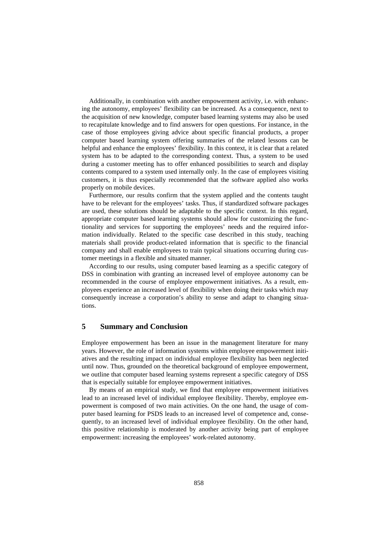Additionally, in combination with another empowerment activity, i.e. with enhancing the autonomy, employees' flexibility can be increased. As a consequence, next to the acquisition of new knowledge, computer based learning systems may also be used to recapitulate knowledge and to find answers for open questions. For instance, in the case of those employees giving advice about specific financial products, a proper computer based learning system offering summaries of the related lessons can be helpful and enhance the employees' flexibility. In this context, it is clear that a related system has to be adapted to the corresponding context. Thus, a system to be used during a customer meeting has to offer enhanced possibilities to search and display contents compared to a system used internally only. In the case of employees visiting customers, it is thus especially recommended that the software applied also works properly on mobile devices.

Furthermore, our results confirm that the system applied and the contents taught have to be relevant for the employees' tasks. Thus, if standardized software packages are used, these solutions should be adaptable to the specific context. In this regard, appropriate computer based learning systems should allow for customizing the functionality and services for supporting the employees' needs and the required information individually. Related to the specific case described in this study, teaching materials shall provide product-related information that is specific to the financial company and shall enable employees to train typical situations occurring during customer meetings in a flexible and situated manner.

According to our results, using computer based learning as a specific category of DSS in combination with granting an increased level of employee autonomy can be recommended in the course of employee empowerment initiatives. As a result, employees experience an increased level of flexibility when doing their tasks which may consequently increase a corporation's ability to sense and adapt to changing situations.

# **5 Summary and Conclusion**

Employee empowerment has been an issue in the management literature for many years. However, the role of information systems within employee empowerment initiatives and the resulting impact on individual employee flexibility has been neglected until now. Thus, grounded on the theoretical background of employee empowerment, we outline that computer based learning systems represent a specific category of DSS that is especially suitable for employee empowerment initiatives.

By means of an empirical study, we find that employee empowerment initiatives lead to an increased level of individual employee flexibility. Thereby, employee empowerment is composed of two main activities. On the one hand, the usage of computer based learning for PSDS leads to an increased level of competence and, consequently, to an increased level of individual employee flexibility. On the other hand, this positive relationship is moderated by another activity being part of employee empowerment: increasing the employees' work-related autonomy.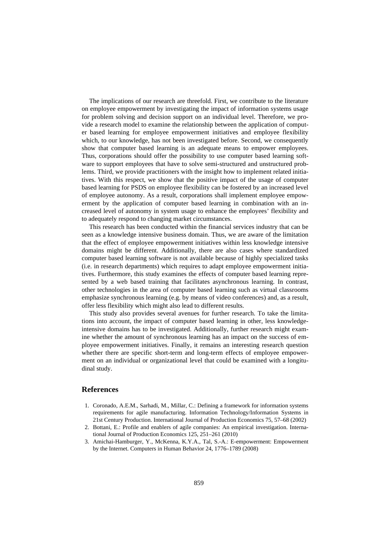The implications of our research are threefold. First, we contribute to the literature on employee empowerment by investigating the impact of information systems usage for problem solving and decision support on an individual level. Therefore, we provide a research model to examine the relationship between the application of computer based learning for employee empowerment initiatives and employee flexibility which, to our knowledge, has not been investigated before. Second, we consequently show that computer based learning is an adequate means to empower employees. Thus, corporations should offer the possibility to use computer based learning software to support employees that have to solve semi-structured and unstructured problems. Third, we provide practitioners with the insight how to implement related initiatives. With this respect, we show that the positive impact of the usage of computer based learning for PSDS on employee flexibility can be fostered by an increased level of employee autonomy. As a result, corporations shall implement employee empowerment by the application of computer based learning in combination with an increased level of autonomy in system usage to enhance the employees' flexibility and to adequately respond to changing market circumstances.

This research has been conducted within the financial services industry that can be seen as a knowledge intensive business domain. Thus, we are aware of the limitation that the effect of employee empowerment initiatives within less knowledge intensive domains might be different. Additionally, there are also cases where standardized computer based learning software is not available because of highly specialized tasks (i.e. in research departments) which requires to adapt employee empowerment initiatives. Furthermore, this study examines the effects of computer based learning represented by a web based training that facilitates asynchronous learning. In contrast, other technologies in the area of computer based learning such as virtual classrooms emphasize synchronous learning (e.g. by means of video conferences) and, as a result, offer less flexibility which might also lead to different results.

This study also provides several avenues for further research. To take the limitations into account, the impact of computer based learning in other, less knowledgeintensive domains has to be investigated. Additionally, further research might examine whether the amount of synchronous learning has an impact on the success of employee empowerment initiatives. Finally, it remains an interesting research question whether there are specific short-term and long-term effects of employee empowerment on an individual or organizational level that could be examined with a longitudinal study.

#### **References**

- 1. Coronado, A.E.M., Sarhadi, M., Millar, C.: Defining a framework for information systems requirements for agile manufacturing. Information Technology/Information Systems in 21st Century Production. International Journal of Production Economics 75, 57–68 (2002)
- 2. Bottani, E.: Profile and enablers of agile companies: An empirical investigation. International Journal of Production Economics 125, 251–261 (2010)
- 3. Amichai-Hamburger, Y., McKenna, K.Y.A., Tal, S.-A.: E-empowerment: Empowerment by the Internet. Computers in Human Behavior 24, 1776–1789 (2008)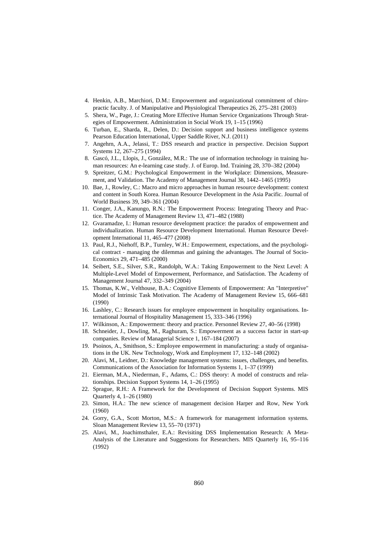- 4. Henkin, A.B., Marchiori, D.M.: Empowerment and organizational commitment of chiropractic faculty. J. of Manipulative and Physiological Therapeutics 26, 275–281 (2003)
- 5. Shera, W., Page, J.: Creating More Effective Human Service Organizations Through Strategies of Empowerment. Administration in Social Work 19, 1–15 (1996)
- 6. Turban, E., Sharda, R., Delen, D.: Decision support and business intelligence systems Pearson Education International, Upper Saddle River, N.J. (2011)
- 7. Angehrn, A.A., Jelassi, T.: DSS research and practice in perspective. Decision Support Systems 12, 267–275 (1994)
- 8. Gascó, J.L., Llopis, J., González, M.R.: The use of information technology in training human resources: An e-learning case study. J. of Europ. Ind. Training 28, 370–382 (2004)
- 9. Spreitzer, G.M.: Psychological Empowerment in the Workplace: Dimensions, Measurement, and Validation. The Academy of Management Journal 38, 1442–1465 (1995)
- 10. Bae, J., Rowley, C.: Macro and micro approaches in human resource development: context and content in South Korea. Human Resource Development in the Asia Pacific. Journal of World Business 39, 349–361 (2004)
- 11. Conger, J.A., Kanungo, R.N.: The Empowerment Process: Integrating Theory and Practice. The Academy of Management Review 13, 471–482 (1988)
- 12. Gvaramadze, I.: Human resource development practice: the paradox of empowerment and individualization. Human Resource Development International. Human Resource Development International 11, 465–477 (2008)
- 13. Paul, R.J., Niehoff, B.P., Turnley, W.H.: Empowerment, expectations, and the psychological contract - managing the dilemmas and gaining the advantages. The Journal of Socio-Economics 29, 471–485 (2000)
- 14. Seibert, S.E., Silver, S.R., Randolph, W.A.: Taking Empowerment to the Next Level: A Multiple-Level Model of Empowerment, Performance, and Satisfaction. The Academy of Management Journal 47, 332–349 (2004)
- 15. Thomas, K.W., Velthouse, B.A.: Cognitive Elements of Empowerment: An "Interpretive" Model of Intrinsic Task Motivation. The Academy of Management Review 15, 666–681 (1990)
- 16. Lashley, C.: Research issues for employee empowerment in hospitality organisations. International Journal of Hospitality Management 15, 333–346 (1996)
- 17. Wilkinson, A.: Empowerment: theory and practice. Personnel Review 27, 40–56 (1998)
- 18. Schneider, J., Dowling, M., Raghuram, S.: Empowerment as a success factor in start-up companies. Review of Managerial Science 1, 167–184 (2007)
- 19. Psoinos, A., Smithson, S.: Employee empowerment in manufacturing: a study of organisations in the UK. New Technology, Work and Employment 17, 132–148 (2002)
- 20. Alavi, M., Leidner, D.: Knowledge management systems: issues, challenges, and benefits. Communications of the Association for Information Systems 1, 1–37 (1999)
- 21. Eierman, M.A., Niederman, F., Adams, C.: DSS theory: A model of constructs and relationships. Decision Support Systems 14, 1–26 (1995)
- 22. Sprague, R.H.: A Framework for the Development of Decision Support Systems. MIS Quarterly 4, 1–26 (1980)
- 23. Simon, H.A.: The new science of management decision Harper and Row, New York (1960)
- 24. Gorry, G.A., Scott Morton, M.S.: A framework for management information systems. Sloan Management Review 13, 55–70 (1971)
- 25. Alavi, M., Joachimsthaler, E.A.: Revisiting DSS Implementation Research: A Meta-Analysis of the Literature and Suggestions for Researchers. MIS Quarterly 16, 95–116 (1992)